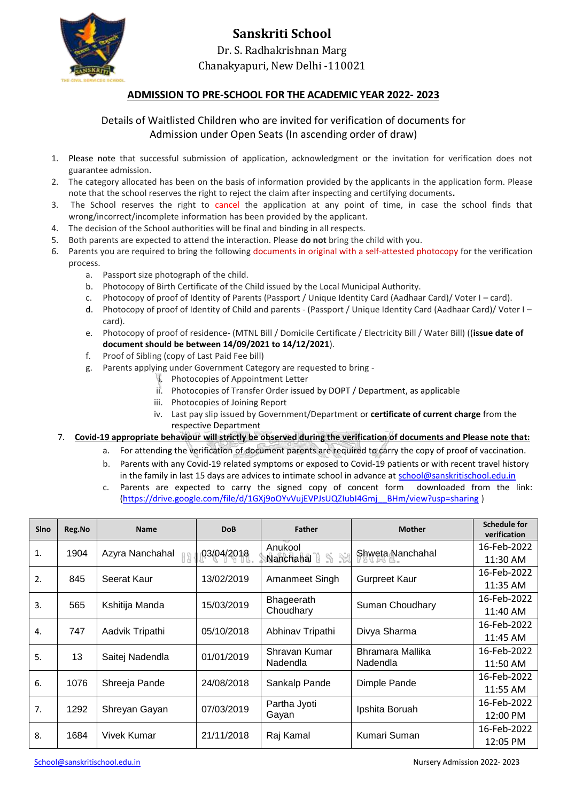

## **Sanskriti School** Dr. S. Radhakrishnan Marg Chanakyapuri, New Delhi -110021

## **ADMISSION TO PRE-SCHOOL FOR THE ACADEMIC YEAR 2022- 2023**

## Details of Waitlisted Children who are invited for verification of documents for Admission under Open Seats (In ascending order of draw)

- 1. Please note that successful submission of application, acknowledgment or the invitation for verification does not guarantee admission.
- 2. The category allocated has been on the basis of information provided by the applicants in the application form. Please note that the school reserves the right to reject the claim after inspecting and certifying documents*.*
- 3. The School reserves the right to cancel the application at any point of time, in case the school finds that wrong/incorrect/incomplete information has been provided by the applicant.
- 4. The decision of the School authorities will be final and binding in all respects.
- 5. Both parents are expected to attend the interaction. Please **do not** bring the child with you.
- 6. Parents you are required to bring the following documents in original with a self-attested photocopy for the verification process.
	- a. Passport size photograph of the child.
	- b. Photocopy of Birth Certificate of the Child issued by the Local Municipal Authority.
	- c. Photocopy of proof of Identity of Parents (Passport / Unique Identity Card (Aadhaar Card)/ Voter I card).
	- d. Photocopy of proof of Identity of Child and parents (Passport / Unique Identity Card (Aadhaar Card)/ Voter I card).
	- e. Photocopy of proof of residence- (MTNL Bill / Domicile Certificate / Electricity Bill / Water Bill) ((**issue date of document should be between 14/09/2021 to 14/12/2021**).
	- f. Proof of Sibling (copy of Last Paid Fee bill)
	- g. Parents applying under Government Category are requested to bring
		- i. Photocopies of Appointment Letter
		- ii. Photocopies of Transfer Order issued by DOPT / Department, as applicable
		- iii. Photocopies of Joining Report
		- iv. Last pay slip issued by Government/Department or **certificate of current charge** from the respective Department
- 7. **Covid-19 appropriate behaviour will strictly be observed during the verification of documents and Please note that:**
	- a. For attending the verification of document parents are required to carry the copy of proof of vaccination.
	- b. Parents with any Covid-19 related symptoms or exposed to Covid-19 patients or with recent travel history in the family in last 15 days are advices to intimate school in advance at [school@sanskritischool.edu.in](mailto:school@sanskritischool.edu.in)
	- c. Parents are expected to carry the signed copy of concent form downloaded from the link: [\(https://drive.google.com/file/d/1GXj9oOYvVujEVPJsUQZIubI4Gmj\\_\\_BHm/view?usp=sharing](https://drive.google.com/file/d/1GXj9oOYvVujEVPJsUQZIubI4Gmj__BHm/view?usp=sharing) )

| <b>SIno</b>      | Reg.No | <b>Name</b>     | <b>DoB</b> | <b>Father</b>             | <b>Mother</b>                | <b>Schedule for</b><br>verification |
|------------------|--------|-----------------|------------|---------------------------|------------------------------|-------------------------------------|
| 1.               | 1904   | Azyra Nanchahal | 03/04/2018 | Anukool<br>Nanchahal      | Shweta Nanchahal             | 16-Feb-2022                         |
|                  |        |                 |            |                           |                              | 11:30 AM                            |
| 2.               | 845    | Seerat Kaur     | 13/02/2019 | Amanmeet Singh            | <b>Gurpreet Kaur</b>         | 16-Feb-2022                         |
|                  |        |                 |            |                           |                              | 11:35 AM                            |
| $\overline{3}$ . | 565    | Kshitija Manda  | 15/03/2019 | Bhageerath<br>Choudhary   | Suman Choudhary              | 16-Feb-2022                         |
|                  |        |                 |            |                           |                              | 11:40 AM                            |
| 4.               | 747    | Aadvik Tripathi | 05/10/2018 | Abhinav Tripathi          | Divya Sharma                 | 16-Feb-2022                         |
|                  |        |                 |            |                           |                              | 11:45 AM                            |
| 5.               | 13     | Saitej Nadendla | 01/01/2019 | Shravan Kumar<br>Nadendla | Bhramara Mallika<br>Nadendla | 16-Feb-2022                         |
|                  |        |                 |            |                           |                              | 11:50 AM                            |
| 6.               | 1076   | Shreeja Pande   | 24/08/2018 | Sankalp Pande             | Dimple Pande                 | 16-Feb-2022                         |
|                  |        |                 |            |                           |                              | 11:55 AM                            |
| 7.               | 1292   | Shreyan Gayan   | 07/03/2019 | Partha Jyoti<br>Gayan     | Ipshita Boruah               | 16-Feb-2022                         |
|                  |        |                 |            |                           |                              | 12:00 PM                            |
| 8.               | 1684   | Vivek Kumar     | 21/11/2018 | Raj Kamal                 | Kumari Suman                 | 16-Feb-2022                         |
|                  |        |                 |            |                           |                              | 12:05 PM                            |